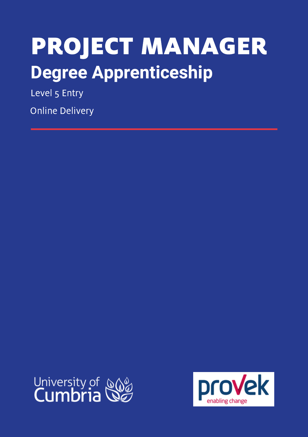# PROJECT MANAGER **Degree Apprenticeship**

Level 5 Entry

Online Delivery



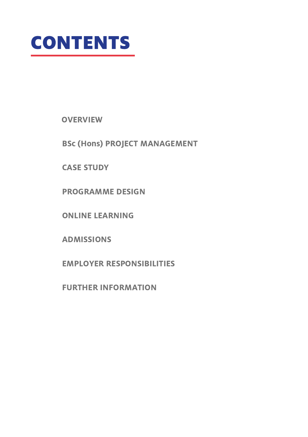

**OVERVIEW** 

BSc (Hons) PROJECT MANAGEMENT

CASE STUDY

PROGRAMME DESIGN

ONLINE LEARNING

ADMISSIONS

EMPLOYER RESPONSIBILITIES

FURTHER INFORMATION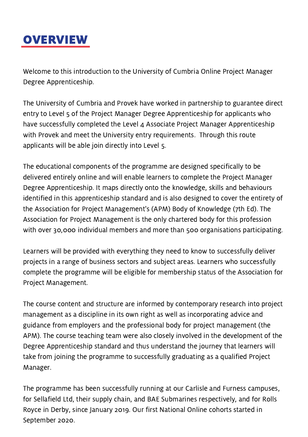

Welcome to this introduction to the University of Cumbria Online Project Manager Degree Apprenticeship.

The University of Cumbria and Provek have worked in partnership to guarantee direct entry to Level 5 of the Project Manager Degree Apprenticeship for applicants who have successfully completed the Level 4 Associate Project Manager Apprenticeship with Provek and meet the University entry requirements. Through this route applicants will be able join directly into Level 5.

The educational components of the programme are designed specifically to be delivered entirely online and will enable learners to complete the Project Manager Degree Apprenticeship. It maps directly onto the knowledge, skills and behaviours identified in this apprenticeship standard and is also designed to cover the entirety of the Association for Project Management's (APM) Body of Knowledge (7th Ed). The Association for Project Management is the only chartered body for this profession with over 30,000 individual members and more than 500 organisations participating.

Learners will be provided with everything they need to know to successfully deliver projects in a range of business sectors and subject areas. Learners who successfully complete the programme will be eligible for membership status of the Association for Project Management.

The course content and structure are informed by contemporary research into project management as a discipline in its own right as well as incorporating advice and guidance from employers and the professional body for project management (the APM). The course teaching team were also closely involved in the development of the Degree Apprenticeship standard and thus understand the journey that learners will take from joining the programme to successfully graduating as a qualified Project Manager.

The programme has been successfully running at our Carlisle and Furness campuses, for Sellafield Ltd, their supply chain, and BAE Submarines respectively, and for Rolls Royce in Derby, since January 2019. Our first National Online cohorts started in September 2020.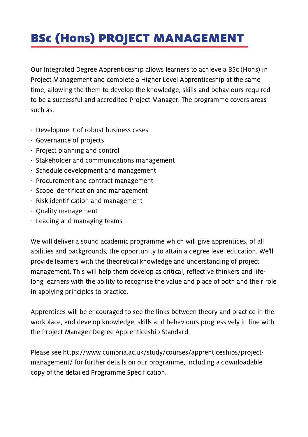# BSc (Hons) PROJECT MANAGEMENT

Our Integrated Degree Apprenticeship allows learners to achieve a BSc (Hons) in Project Management and complete a Higher Level Apprenticeship at the same time, allowing the them to develop the knowledge, skills and behaviours required to be a successful and accredited Project Manager. The programme covers areas such as:

- · Development of robust business cases
- · Governance of projects
- · Project planning and control
- · Stakeholder and communications management
- · Schedule development and management
- · Procurement and contract management
- · Scope identification and management
- · Risk identification and management
- · Quality management
- · Leading and managing teams

We will deliver a sound academic programme which will give apprentices, of all abilities and backgrounds, the opportunity to attain a degree level education. We'll provide learners with the theoretical knowledge and understanding of project management. This will help them develop as critical, reflective thinkers and lifelong learners with the ability to recognise the value and place of both and their role in applying principles to practice.

Apprentices will be encouraged to see the links between theory and practice in the workplace, and develop knowledge, skills and behaviours progressively in line with the Project Manager Degree Apprenticeship Standard.

Please see https://www.cumbria.ac.uk/study/courses/apprenticeships/project management/ for further details on our programme, including a downloadable copy of the detailed Programme Specification.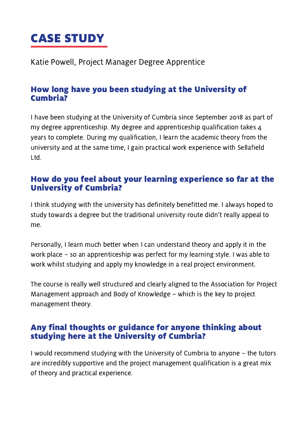## CASE STUDY

Katie Powell, Project Manager Degree Apprentice

### How long have you been studying at the University of Cumbria?

I have been studying at the University of Cumbria since September 2018 as part of my degree apprenticeship. My degree and apprenticeship qualification takes  $\Delta$ years to complete. During my qualification, I learn the academic theory from the university and at the same time, I gain practical work experience with Sellafield Ltd.

### How do you feel about your learning experience so far at the University of Cumbria?

I think studying with the university has definitely benefitted me. I always hoped to study towards a degree but the traditional university route didn't really appeal to me.

Personally, I learn much better when I can understand theory and apply it in the work place – so an apprenticeship was perfect for my learning style. I was able to work whilst studying and apply my knowledge in a real project environment.

The course is really well structured and clearly aligned to the Association for Project Management approach and Body of Knowledge – which is the key to project management theory.

### Any final thoughts or guidance for anyone thinking about studying here at the University of Cumbria?

I would recommend studying with the University of Cumbria to anyone – the tutors are incredibly supportive and the project management qualification is a great mix of theory and practical experience.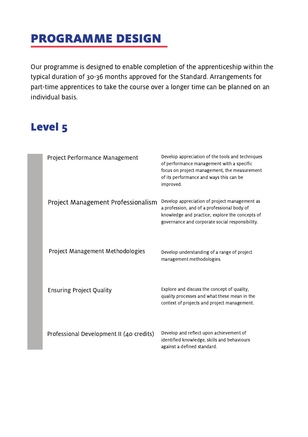### PROGRAMME DESIGN

Our programme is designed to enable completion of the apprenticeship within the typical duration of 30-36 months approved for the Standard. Arrangements for part-time apprentices to take the course over a longer time can be planned on an individual basis.

#### MODULE TITLE AIMS OF MODULE TIME AIMS OF MODULE THE SECOND AIM OF MODULE THAT ARE AN OUTLINE AIM OF MODULE THAT A STRUCK AND THE STRUCK AIM OF THE STRUCK AIM OF THE STRUCK AIM OF THE STRUCK AIM OF THE STRUCK AIM OF THE STR Level 5

| Project Performance Management           | Develop appreciation of the tools and techniques<br>of performance management with a specific<br>focus on project management, the measurement<br>of its performance and ways this can be<br>improved. |
|------------------------------------------|-------------------------------------------------------------------------------------------------------------------------------------------------------------------------------------------------------|
| Project Management Professionalism       | Develop appreciation of project management as<br>a profession, and of a professional body of<br>knowledge and practice; explore the concepts of<br>governance and corporate social responsibility.    |
| Project Management Methodologies         | Develop understanding of a range of project<br>management methodologies.                                                                                                                              |
| <b>Ensuring Project Quality</b>          | Explore and discuss the concept of quality,<br>quality processes and what these mean in the<br>context of projects and project management.                                                            |
| Professional Development II (40 credits) | Develop and reflect upon achievement of<br>identified knowledge, skills and behaviours<br>against a defined standard.                                                                                 |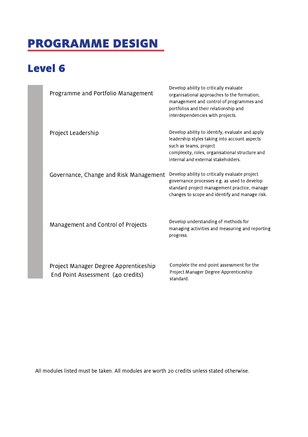# PROGRAMME DESIGN

### Level 6

| Programme and Portfolio Management                                         | Develop ability to critically evaluate<br>organisational approaches to the formation,<br>management and control of programmes and<br>portfolios and their relationship and<br>interdependencies with projects.       |
|----------------------------------------------------------------------------|----------------------------------------------------------------------------------------------------------------------------------------------------------------------------------------------------------------------|
| Project Leadership                                                         | Develop ability to identify, evaluate and apply<br>leadership styles taking into account aspects<br>such as teams, project<br>complexity, roles, organisational structure and<br>internal and external stakeholders. |
| Governance, Change and Risk Management                                     | Develop ability to critically evaluate project<br>governance processes e.g. as used to develop<br>standard project management practice, manage<br>changes to scope and identify and manage risk.                     |
| Management and Control of Projects                                         | Develop understanding of methods for<br>managing activities and measuring and reporting<br>progress.                                                                                                                 |
| Project Manager Degree Apprenticeship<br>End Point Assessment (40 credits) | Complete the end-point assessment for the<br>Project Manager Degree Apprenticeship<br>standard.                                                                                                                      |

All modules listed must be taken. All modules are worth 20 credits unless stated otherwise.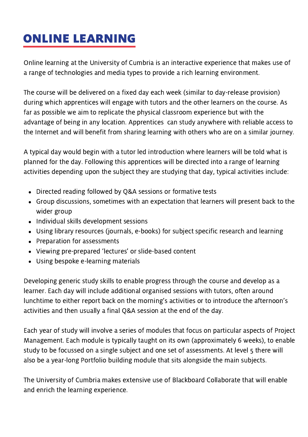# ONLINE LEARNING

Online learning at the University of Cumbria is an interactive experience that makes use of a range of technologies and media types to provide a rich learning environment.

The course will be delivered on a fixed day each week (similar to day-release provision) during which apprentices will engage with tutors and the other learners on the course. As far as possible we aim to replicate the physical classroom experience but with the advantage of being in any location. Apprentices can study anywhere with reliable access to the Internet and will benefit from sharing learning with others who are on a similar journey.

A typical day would begin with a tutor led introduction where learners will be told what is planned for the day. Following this apprentices will be directed into a range of learning activities depending upon the subject they are studying that day, typical activities include:

- Directed reading followed by Q&A sessions or formative tests
- Group discussions, sometimes with an expectation that learners will present back to the wider group
- Individual skills development sessions
- Using library resources (journals, e-books) for subject specific research and learning
- Preparation for assessments
- Viewing pre-prepared 'lectures' or slide-based content
- Using bespoke e-learning materials

Developing generic study skills to enable progress through the course and develop as a learner. Each day will include additional organised sessions with tutors, often around lunchtime to either report back on the morning's activities or to introduce the afternoon's activities and then usually a final Q&A session at the end of the day.

Each year of study will involve a series of modules that focus on particular aspects of Project Management. Each module is typically taught on its own (approximately 6 weeks), to enable study to be focussed on a single subject and one set of assessments. At level 5 there will also be a year-long Portfolio building module that sits alongside the main subjects.

The University of Cumbria makes extensive use of Blackboard Collaborate that will enable and enrich the learning experience.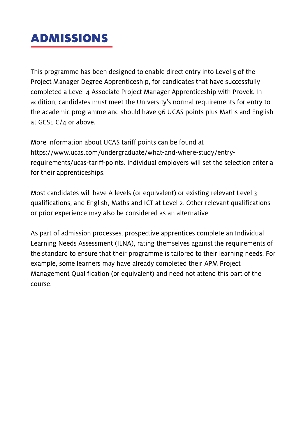### ADMISSIONS

This programme has been designed to enable direct entry into Level 5 of the Project Manager Degree Apprenticeship, for candidates that have successfully completed a Level 4 Associate Project Manager Apprenticeship with Provek. In addition, candidates must meet the University's normal requirements for entry to the academic programme and should have 96 UCAS points plus Maths and English at GCSE  $C/A$  or above.

More information about UCAS tariff points can be found at https://www.ucas.com/undergraduate/what-and-where-study/entryrequirements/ucas-tariff-points. Individual employers will set the selection criteria for their apprenticeships.

Most candidates will have A levels (or equivalent) or existing relevant Level 3 qualifications, and English, Maths and ICT at Level 2. Other relevant qualifications or prior experience may also be considered as an alternative.

As part of admission processes, prospective apprentices complete an Individual Learning Needs Assessment (ILNA), rating themselves against the requirements of the standard to ensure that their programme is tailored to their learning needs. For example, some learners may have already completed their APM Project Management Qualification (or equivalent) and need not attend this part of the course.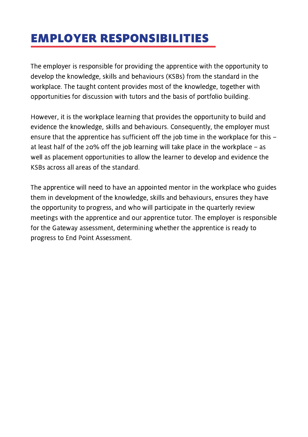### EMPLOYER RESPONSIBILITIES

The employer is responsible for providing the apprentice with the opportunity to develop the knowledge, skills and behaviours (KSBs) from the standard in the workplace. The taught content provides most of the knowledge, together with opportunities for discussion with tutors and the basis of portfolio building.

However, it is the workplace learning that provides the opportunity to build and evidence the knowledge, skills and behaviours. Consequently, the employer must ensure that the apprentice has sufficient off the job time in the workplace for this – at least half of the 20% off the job learning will take place in the workplace – as well as placement opportunities to allow the learner to develop and evidence the KSBs across all areas of the standard.

The apprentice will need to have an appointed mentor in the workplace who guides them in development of the knowledge, skills and behaviours, ensures they have the opportunity to progress, and who will participate in the quarterly review meetings with the apprentice and our apprentice tutor. The employer is responsible for the Gateway assessment, determining whether the apprentice is ready to progress to End Point Assessment.